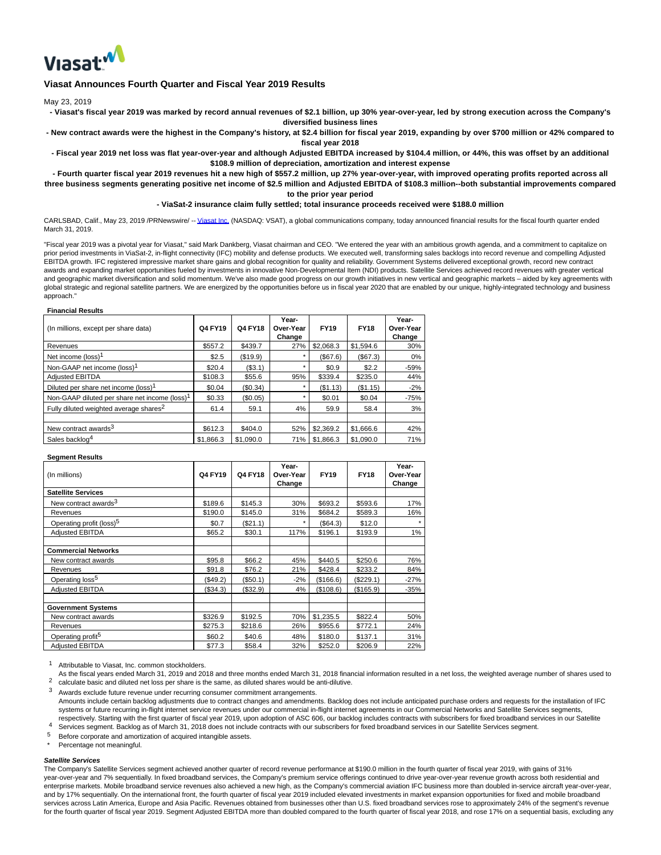

# **Viasat Announces Fourth Quarter and Fiscal Year 2019 Results**

May 23, 2019

**- Viasat's fiscal year 2019 was marked by record annual revenues of \$2.1 billion, up 30% year-over-year, led by strong execution across the Company's diversified business lines**

**- New contract awards were the highest in the Company's history, at \$2.4 billion for fiscal year 2019, expanding by over \$700 million or 42% compared to fiscal year 2018**

**- Fiscal year 2019 net loss was flat year-over-year and although Adjusted EBITDA increased by \$104.4 million, or 44%, this was offset by an additional \$108.9 million of depreciation, amortization and interest expense**

**- Fourth quarter fiscal year 2019 revenues hit a new high of \$557.2 million, up 27% year-over-year, with improved operating profits reported across all three business segments generating positive net income of \$2.5 million and Adjusted EBITDA of \$108.3 million--both substantial improvements compared to the prior year period**

**- ViaSat-2 insurance claim fully settled; total insurance proceeds received were \$188.0 million**

CARLSBAD, Calif., May 23, 2019 /PRNewswire/ -[- Viasat Inc. \(](https://c212.net/c/link/?t=0&l=en&o=2476753-1&h=3730969304&u=http%3A%2F%2Fwww.viasat.com%2F&a=Viasat+Inc.)NASDAQ: VSAT), a global communications company, today announced financial results for the fiscal fourth quarter ended March 31, 2019.

"Fiscal year 2019 was a pivotal year for Viasat," said Mark Dankberg, Viasat chairman and CEO. "We entered the year with an ambitious growth agenda, and a commitment to capitalize on prior period investments in ViaSat-2, in-flight connectivity (IFC) mobility and defense products. We executed well, transforming sales backlogs into record revenue and compelling Adjusted EBITDA growth. IFC registered impressive market share gains and global recognition for quality and reliability. Government Systems delivered exceptional growth, record new contract awards and expanding market opportunities fueled by investments in innovative Non-Developmental Item (NDI) products. Satellite Services achieved record revenues with greater vertical and geographic market diversification and solid momentum. We've also made good progress on our growth initiatives in new vertical and geographic markets – aided by key agreements with global strategic and regional satellite partners. We are energized by the opportunities before us in fiscal year 2020 that are enabled by our unique, highly-integrated technology and business approach."

#### **Financial Results**

| (In millions, except per share data)                      | Q4 FY19   | <b>Q4 FY18</b> | Year-<br>Over-Year<br>Change | <b>FY19</b> | <b>FY18</b> | Year-<br>Over-Year<br>Change |
|-----------------------------------------------------------|-----------|----------------|------------------------------|-------------|-------------|------------------------------|
| Revenues                                                  | \$557.2   | \$439.7        | 27%                          | \$2,068.3   | \$1,594.6   | 30%                          |
| Net income $(\text{loss})^1$                              | \$2.5     | (\$19.9)       |                              | (S67.6)     | (S67.3)     | 0%                           |
| Non-GAAP net income (loss) <sup>1</sup>                   | \$20.4    | (\$3.1)        |                              | \$0.9       | \$2.2       | $-59%$                       |
| <b>Adjusted EBITDA</b>                                    | \$108.3   | \$55.6         | 95%                          | \$339.4     | \$235.0     | 44%                          |
| Diluted per share net income (loss) <sup>1</sup>          | \$0.04    | (\$0.34)       |                              | (\$1.13)    | (\$1.15)    | $-2%$                        |
| Non-GAAP diluted per share net income (loss) <sup>1</sup> | \$0.33    | (\$0.05)       |                              | \$0.01      | \$0.04      | $-75%$                       |
| Fully diluted weighted average shares <sup>2</sup>        | 61.4      | 59.1           | 4%                           | 59.9        | 58.4        | 3%                           |
|                                                           |           |                |                              |             |             |                              |
| New contract awards <sup>3</sup>                          | \$612.3   | \$404.0        | 52%                          | \$2,369.2   | \$1,666.6   | 42%                          |
| Sales backlog <sup>4</sup>                                | \$1,866.3 | \$1,090.0      | 71%                          | \$1,866.3   | \$1,090.0   | 71%                          |

#### **Segment Results**

| (In millions)                        | Q4 FY19  | <b>Q4 FY18</b> | Year-<br>Over-Year<br>Change | <b>FY19</b> | <b>FY18</b> | Year-<br>Over-Year<br>Change |
|--------------------------------------|----------|----------------|------------------------------|-------------|-------------|------------------------------|
| <b>Satellite Services</b>            |          |                |                              |             |             |                              |
| New contract awards <sup>3</sup>     | \$189.6  | \$145.3        | 30%                          | \$693.2     | \$593.6     | 17%                          |
| Revenues                             | \$190.0  | \$145.0        | 31%                          | \$684.2     | \$589.3     | 16%                          |
| Operating profit (loss) <sup>5</sup> | \$0.7    | (\$21.1)       | $\star$                      | (\$64.3)    | \$12.0      | $\star$                      |
| <b>Adjusted EBITDA</b>               | \$65.2   | \$30.1         | 117%                         | \$196.1     | \$193.9     | 1%                           |
| <b>Commercial Networks</b>           |          |                |                              |             |             |                              |
| New contract awards                  | \$95.8   | \$66.2         | 45%                          | \$440.5     | \$250.6     | 76%                          |
| Revenues                             | \$91.8   | \$76.2         | 21%                          | \$428.4     | \$233.2     | 84%                          |
| Operating loss <sup>5</sup>          | (\$49.2) | (\$50.1)       | $-2%$                        | (\$166.6)   | (\$229.1)   | -27%                         |
| <b>Adjusted EBITDA</b>               | (\$34.3) | (\$32.9)       | 4%                           | (\$108.6)   | (\$165.9)   | -35%                         |
| <b>Government Systems</b>            |          |                |                              |             |             |                              |
| New contract awards                  | \$326.9  | \$192.5        | 70%                          | \$1,235.5   | \$822.4     | 50%                          |
| Revenues                             | \$275.3  | \$218.6        | 26%                          | \$955.6     | \$772.1     | 24%                          |
| Operating profit <sup>5</sup>        | \$60.2   | \$40.6         | 48%                          | \$180.0     | \$137.1     | 31%                          |
| <b>Adjusted EBITDA</b>               | \$77.3   | \$58.4         | 32%                          | \$252.0     | \$206.9     | 22%                          |

1 Attributable to Viasat, Inc. common stockholders.

 $2<sup>2</sup>$  calculate basic and diluted net loss per share is the same, as diluted shares would be anti-dilutive. As the fiscal years ended March 31, 2019 and 2018 and three months ended March 31, 2018 financial information resulted in a net loss, the weighted average number of shares used to

3 Awards exclude future revenue under recurring consumer commitment arrangements. 4 Amounts include certain backlog adjustments due to contract changes and amendments. Backlog does not include anticipated purchase orders and requests for the installation of IFC systems or future recurring in-flight internet service revenues under our commercial in-flight internet agreements in our Commercial Networks and Satellite Services segments, respectively. Starting with the first quarter of fiscal year 2019, upon adoption of ASC 606, our backlog includes contracts with subscribers for fixed broadband services in our Satellite

Services segment. Backlog as of March 31, 2018 does not include contracts with our subscribers for fixed broadband services in our Satellite Services segment.

5 Before corporate and amortization of acquired intangible assets.

Percentage not meaningful.

### **Satellite Services**

The Company's Satellite Services segment achieved another quarter of record revenue performance at \$190.0 million in the fourth quarter of fiscal year 2019, with gains of 31% year-over-year and 7% sequentially. In fixed broadband services, the Company's premium service offerings continued to drive year-over-year revenue growth across both residential and enterprise markets. Mobile broadband service revenues also achieved a new high, as the Company's commercial aviation IFC business more than doubled in-service aircraft year-over-year, and by 17% sequentially. On the international front, the fourth quarter of fiscal year 2019 included elevated investments in market expansion opportunities for fixed and mobile broadband services across Latin America, Europe and Asia Pacific. Revenues obtained from businesses other than U.S. fixed broadband services rose to approximately 24% of the segment's revenue for the fourth quarter of fiscal year 2019. Segment Adjusted EBITDA more than doubled compared to the fourth quarter of fiscal year 2018, and rose 17% on a sequential basis, excluding any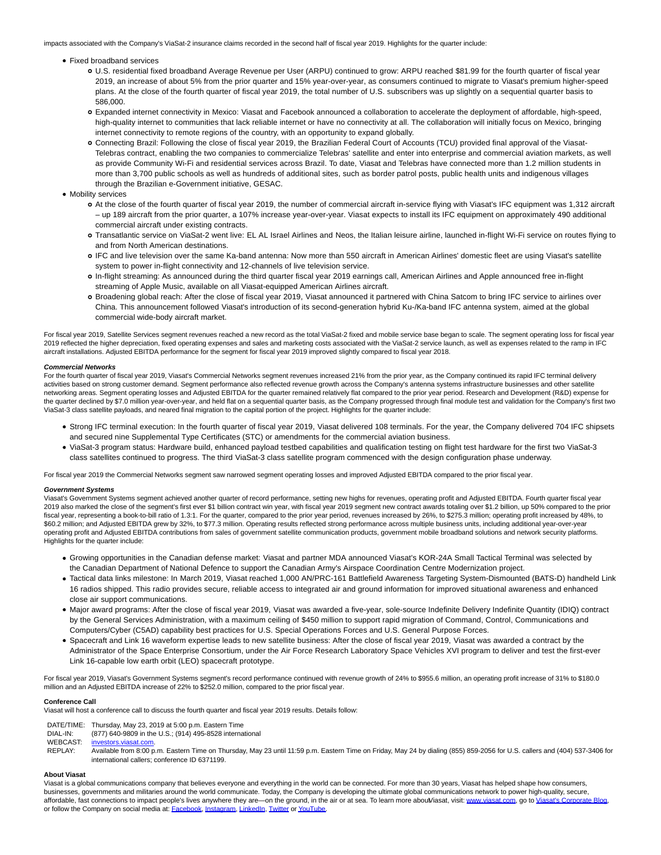impacts associated with the Company's ViaSat-2 insurance claims recorded in the second half of fiscal year 2019. Highlights for the quarter include:

- Fixed broadband services
	- U.S. residential fixed broadband Average Revenue per User (ARPU) continued to grow: ARPU reached \$81.99 for the fourth quarter of fiscal year 2019, an increase of about 5% from the prior quarter and 15% year-over-year, as consumers continued to migrate to Viasat's premium higher-speed plans. At the close of the fourth quarter of fiscal year 2019, the total number of U.S. subscribers was up slightly on a sequential quarter basis to 586,000.
	- Expanded internet connectivity in Mexico: Viasat and Facebook announced a collaboration to accelerate the deployment of affordable, high-speed, high-quality internet to communities that lack reliable internet or have no connectivity at all. The collaboration will initially focus on Mexico, bringing internet connectivity to remote regions of the country, with an opportunity to expand globally.
	- Connecting Brazil: Following the close of fiscal year 2019, the Brazilian Federal Court of Accounts (TCU) provided final approval of the Viasat-Telebras contract, enabling the two companies to commercialize Telebras' satellite and enter into enterprise and commercial aviation markets, as well as provide Community Wi-Fi and residential services across Brazil. To date, Viasat and Telebras have connected more than 1.2 million students in more than 3,700 public schools as well as hundreds of additional sites, such as border patrol posts, public health units and indigenous villages through the Brazilian e-Government initiative, GESAC.
- Mobility services
	- At the close of the fourth quarter of fiscal year 2019, the number of commercial aircraft in-service flying with Viasat's IFC equipment was 1,312 aircraft – up 189 aircraft from the prior quarter, a 107% increase year-over-year. Viasat expects to install its IFC equipment on approximately 490 additional commercial aircraft under existing contracts.
	- Transatlantic service on ViaSat-2 went live: EL AL Israel Airlines and Neos, the Italian leisure airline, launched in-flight Wi-Fi service on routes flying to and from North American destinations.
	- IFC and live television over the same Ka-band antenna: Now more than 550 aircraft in American Airlines' domestic fleet are using Viasat's satellite system to power in-flight connectivity and 12-channels of live television service.
	- In-flight streaming: As announced during the third quarter fiscal year 2019 earnings call, American Airlines and Apple announced free in-flight streaming of Apple Music, available on all Viasat-equipped American Airlines aircraft.
	- Broadening global reach: After the close of fiscal year 2019, Viasat announced it partnered with China Satcom to bring IFC service to airlines over China. This announcement followed Viasat's introduction of its second-generation hybrid Ku-/Ka-band IFC antenna system, aimed at the global commercial wide-body aircraft market.

For fiscal year 2019, Satellite Services segment revenues reached a new record as the total ViaSat-2 fixed and mobile service base began to scale. The segment operating loss for fiscal year 2019 reflected the higher depreciation, fixed operating expenses and sales and marketing costs associated with the ViaSat-2 service launch, as well as expenses related to the ramp in IFC aircraft installations. Adjusted EBITDA performance for the segment for fiscal year 2019 improved slightly compared to fiscal year 2018.

#### **Commercial Networks**

For the fourth quarter of fiscal year 2019, Viasat's Commercial Networks segment revenues increased 21% from the prior year, as the Company continued its rapid IFC terminal delivery activities based on strong customer demand. Segment performance also reflected revenue growth across the Company's antenna systems infrastructure businesses and other satellite networking areas. Segment operating losses and Adjusted EBITDA for the quarter remained relatively flat compared to the prior year period. Research and Development (R&D) expense for the quarter declined by \$7.0 million year-over-year, and held flat on a sequential quarter basis, as the Company progressed through final module test and validation for the Company's first two ViaSat-3 class satellite payloads, and neared final migration to the capital portion of the project. Highlights for the quarter include:

- Strong IFC terminal execution: In the fourth quarter of fiscal year 2019, Viasat delivered 108 terminals. For the year, the Company delivered 704 IFC shipsets and secured nine Supplemental Type Certificates (STC) or amendments for the commercial aviation business.
- ViaSat-3 program status: Hardware build, enhanced payload testbed capabilities and qualification testing on flight test hardware for the first two ViaSat-3 class satellites continued to progress. The third ViaSat-3 class satellite program commenced with the design configuration phase underway.

For fiscal year 2019 the Commercial Networks segment saw narrowed segment operating losses and improved Adjusted EBITDA compared to the prior fiscal year.

#### **Government Systems**

Viasat's Government Systems segment achieved another quarter of record performance, setting new highs for revenues, operating profit and Adjusted EBITDA. Fourth quarter fiscal year 2019 also marked the close of the segment's first ever \$1 billion contract win year, with fiscal year 2019 segment new contract awards totaling over \$1.2 billion, up 50% compared to the prior fiscal year, representing a book-to-bill ratio of 1.3:1. For the quarter, compared to the prior year period, revenues increased by 26%, to \$275.3 million; operating profit increased by 48%, to \$60.2 million; and Adjusted EBITDA grew by 32%, to \$77.3 million. Operating results reflected strong performance across multiple business units, including additional year-over-year operating profit and Adjusted EBITDA contributions from sales of government satellite communication products, government mobile broadband solutions and network security platforms. Highlights for the quarter include:

- Growing opportunities in the Canadian defense market: Viasat and partner MDA announced Viasat's KOR-24A Small Tactical Terminal was selected by the Canadian Department of National Defence to support the Canadian Army's Airspace Coordination Centre Modernization project.
- Tactical data links milestone: In March 2019, Viasat reached 1,000 AN/PRC-161 Battlefield Awareness Targeting System-Dismounted (BATS-D) handheld Link 16 radios shipped. This radio provides secure, reliable access to integrated air and ground information for improved situational awareness and enhanced close air support communications.
- Major award programs: After the close of fiscal year 2019, Viasat was awarded a five-year, sole-source Indefinite Delivery Indefinite Quantity (IDIQ) contract by the General Services Administration, with a maximum ceiling of \$450 million to support rapid migration of Command, Control, Communications and Computers/Cyber (C5AD) capability best practices for U.S. Special Operations Forces and U.S. General Purpose Forces.
- Spacecraft and Link 16 waveform expertise leads to new satellite business: After the close of fiscal year 2019, Viasat was awarded a contract by the Administrator of the Space Enterprise Consortium, under the Air Force Research Laboratory Space Vehicles XVI program to deliver and test the first-ever Link 16-capable low earth orbit (LEO) spacecraft prototype.

For fiscal year 2019, Viasat's Government Systems segment's record performance continued with revenue growth of 24% to \$955.6 million, an operating profit increase of 31% to \$180.0 million and an Adjusted EBITDA increase of 22% to \$252.0 million, compared to the prior fiscal year.

## **Conference Call**

Viasat will host a conference call to discuss the fourth quarter and fiscal year 2019 results. Details follow:

- DATE/TIME: Thursday, May 23, 2019 at 5:00 p.m. Eastern Time
- DIAL-IN: (877) 640-9809 in the U.S.; (914) 495-8528 international
- [investors.viasat.com.](https://c212.net/c/link/?t=0&l=en&o=2476753-1&h=3413355226&u=http%3A%2F%2Finvestors.viasat.com%2F&a=investors.viasat.com)
- REPLAY: Available from 8:00 p.m. Eastern Time on Thursday, May 23 until 11:59 p.m. Eastern Time on Friday, May 24 by dialing (855) 859-2056 for U.S. callers and (404) 537-3406 for international callers; conference ID 6371199.

#### **About Viasat**

Viasat is a global communications company that believes everyone and everything in the world can be connected. For more than 30 years, Viasat has helped shape how consumers, businesses, governments and militaries around the world communicate. Today, the Company is developing the ultimate global communications network to power high-quality, secure, affordable, fast connections to impact people's lives anywhere they are—on the ground, in the air or at sea. To learn more about lasat, visit: [www.viasat.com,](https://c212.net/c/link/?t=0&l=en&o=2476753-1&h=865933954&u=http%3A%2F%2Fwww.viasat.com%2F&a=www.viasat.com) go t[o Viasat's Corporate Blog,](https://c212.net/c/link/?t=0&l=en&o=2476753-1&h=3933824478&u=https%3A%2F%2Fcorpblog.viasat.com%2F&a=Viasat%27s+Corporate+Blog) or follow the Company on social media at[: Facebook,](https://c212.net/c/link/?t=0&l=en&o=2476753-1&h=2279267449&u=https%3A%2F%2Fwww.facebook.com%2FViaSat&a=Facebook) [Instagram,](https://c212.net/c/link/?t=0&l=en&o=2476753-1&h=3515908308&u=https%3A%2F%2Fwww.instagram.com%2Fviasatinc%2F&a=Instagram) [LinkedIn,](https://c212.net/c/link/?t=0&l=en&o=2476753-1&h=1300148931&u=https%3A%2F%2Fwww.linkedin.com%2Fcompany%2Fviasat&a=LinkedIn) [Twitter o](https://c212.net/c/link/?t=0&l=en&o=2476753-1&h=3375205523&u=https%3A%2F%2Ftwitter.com%2FViaSatInc&a=Twitter)[r YouTube.](https://c212.net/c/link/?t=0&l=en&o=2476753-1&h=4146401179&u=https%3A%2F%2Fwww.youtube.com%2Fuser%2FViaSatInc&a=YouTube)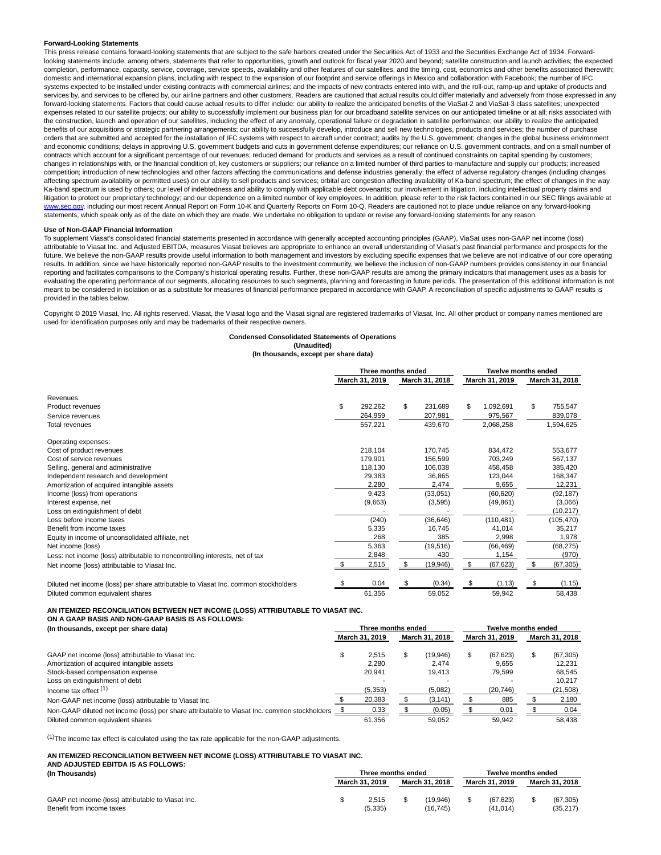#### **Forward-Looking Statements**

This press release contains forward-looking statements that are subject to the safe harbors created under the Securities Act of 1933 and the Securities Exchange Act of 1934. Forwardlooking statements include, among others, statements that refer to opportunities, growth and outlook for fiscal year 2020 and beyond; satellite construction and launch activities; the expected completion, performance, capacity, service, coverage, service speeds, availability and other features of our satellites, and the timing, cost, economics and other benefits associated therewith; domestic and international expansion plans, including with respect to the expansion of our footprint and service offerings in Mexico and collaboration with Facebook; the number of IFC systems expected to be installed under existing contracts with commercial airlines; and the impacts of new contracts entered into with, and the roll-out, ramp-up and uptake of products and services by, and services to be offered by, our airline partners and other customers. Readers are cautioned that actual results could differ materially and adversely from those expressed in any forward-looking statements. Factors that could cause actual results to differ include: our ability to realize the anticipated benefits of the ViaSat-2 and ViaSat-3 class satellites; unexpected expenses related to our satellite projects; our ability to successfully implement our business plan for our broadband satellite services on our anticipated timeline or at all; risks associated with the construction, launch and operation of our satellites, including the effect of any anomaly, operational failure or degradation in satellite performance; our ability to realize the anticipated benefits of our acquisitions or strategic partnering arrangements; our ability to successfully develop, introduce and sell new technologies, products and services; the number of purchase orders that are submitted and accepted for the installation of IFC systems with respect to aircraft under contract; audits by the U.S. government; changes in the global business environment and economic conditions; delays in approving U.S. government budgets and cuts in government defense expenditures; our reliance on U.S. government contracts, and on a small number of contracts which account for a significant percentage of our revenues; reduced demand for products and services as a result of continued constraints on capital spending by customers; changes in relationships with, or the financial condition of, key customers or suppliers; our reliance on a limited number of third parties to manufacture and supply our products; increased competition; introduction of new technologies and other factors affecting the communications and defense industries generally; the effect of adverse regulatory changes (including changes affecting spectrum availability or permitted uses) on our ability to sell products and services; orbital arc congestion affecting availability of Ka-band spectrum; the effect of changes in the way Ka-band spectrum is used by others; our level of indebtedness and ability to comply with applicable debt covenants; our involvement in litigation, including intellectual property claims and litigation to protect our proprietary technology; and our dependence on a limited number of key employees. In addition, please refer to the risk factors contained in our SEC filings available at ww.sec.gov, including our most recent Annual Report on Form 10-K and Quarterly Reports on Form 10-Q. Readers are cautioned not to place undue reliance on any forward-looking statements, which speak only as of the date on which they are made. We undertake no obligation to update or revise any forward-looking statements for any reason.

#### **Use of Non-GAAP Financial Information**

To supplement Viasat's consolidated financial statements presented in accordance with generally accepted accounting principles (GAAP), ViaSat uses non-GAAP net income (loss) attributable to Viasat Inc. and Adjusted EBITDA, measures Viasat believes are appropriate to enhance an overall understanding of Viasat's past financial performance and prospects for the future. We believe the non-GAAP results provide useful information to both management and investors by excluding specific expenses that we believe are not indicative of our core operating results. In addition, since we have historically reported non-GAAP results to the investment community, we believe the inclusion of non-GAAP numbers provides consistency in our financial reporting and facilitates comparisons to the Company's historical operating results. Further, these non-GAAP results are among the primary indicators that management uses as a basis for evaluating the operating performance of our segments, allocating resources to such segments, planning and forecasting in future periods. The presentation of this additional information is not meant to be considered in isolation or as a substitute for measures of financial performance prepared in accordance with GAAP. A reconciliation of specific adjustments to GAAP results is provided in the tables below.

Copyright © 2019 Viasat, Inc. All rights reserved. Viasat, the Viasat logo and the Viasat signal are registered trademarks of Viasat, Inc. All other product or company names mentioned are used for identification purposes only and may be trademarks of their respective owners.

# **Condensed Consolidated Statements of Operations**

**(Unaudited) (In thousands, except per share data)**

|                                                                                     | Three months ended |                |    | <b>Twelve months ended</b> |    |                |     |                |
|-------------------------------------------------------------------------------------|--------------------|----------------|----|----------------------------|----|----------------|-----|----------------|
|                                                                                     |                    | March 31, 2019 |    | March 31, 2018             |    | March 31, 2019 |     | March 31, 2018 |
| Revenues:                                                                           |                    |                |    |                            |    |                |     |                |
| Product revenues                                                                    | \$                 | 292,262        | \$ | 231,689                    | \$ | 1,092,691      | \$  | 755,547        |
| Service revenues                                                                    |                    | 264,959        |    | 207,981                    |    | 975,567        |     | 839,078        |
| Total revenues                                                                      |                    | 557,221        |    | 439,670                    |    | 2,068,258      |     | 1,594,625      |
| Operating expenses:                                                                 |                    |                |    |                            |    |                |     |                |
| Cost of product revenues                                                            |                    | 218,104        |    | 170,745                    |    | 834.472        |     | 553,677        |
| Cost of service revenues                                                            |                    | 179,901        |    | 156,599                    |    | 703,249        |     | 567,137        |
| Selling, general and administrative                                                 |                    | 118,130        |    | 106,038                    |    | 458,458        |     | 385,420        |
| Independent research and development                                                |                    | 29,383         |    | 36,865                     |    | 123,044        |     | 168,347        |
| Amortization of acquired intangible assets                                          |                    | 2,280          |    | 2,474                      |    | 9,655          |     | 12,231         |
| Income (loss) from operations                                                       |                    | 9,423          |    | (33,051)                   |    | (60, 620)      |     | (92, 187)      |
| Interest expense, net                                                               |                    | (9,663)        |    | (3,595)                    |    | (49, 861)      |     | (3,066)        |
| Loss on extinguishment of debt                                                      |                    |                |    |                            |    |                |     | (10, 217)      |
| Loss before income taxes                                                            |                    | (240)          |    | (36, 646)                  |    | (110, 481)     |     | (105, 470)     |
| Benefit from income taxes                                                           |                    | 5,335          |    | 16,745                     |    | 41,014         |     | 35,217         |
| Equity in income of unconsolidated affiliate, net                                   |                    | 268            |    | 385                        |    | 2,998          |     | 1,978          |
| Net income (loss)                                                                   |                    | 5,363          |    | (19, 516)                  |    | (66, 469)      |     | (68, 275)      |
| Less: net income (loss) attributable to noncontrolling interests, net of tax        |                    | 2,848          |    | 430                        |    | 1,154          |     | (970)          |
| Net income (loss) attributable to Viasat Inc.                                       |                    | 2,515          | S  | (19, 946)                  | S  | (67, 623)      | \$  | (67, 305)      |
| Diluted net income (loss) per share attributable to Viasat Inc. common stockholders |                    | 0.04           | \$ | (0.34)                     |    | (1.13)         | \$. | (1.15)         |
| Diluted common equivalent shares                                                    |                    | 61,356         |    | 59,052                     |    | 59,942         |     | 58,438         |

**AN ITEMIZED RECONCILIATION BETWEEN NET INCOME (LOSS) ATTRIBUTABLE TO VIASAT INC.**

| ON A GAAP BASIS AND NON-GAAP BASIS IS AS FOLLOWS: |
|---------------------------------------------------|
|---------------------------------------------------|

| (In thousands, except per share data)                                                        | Three months ended |          |                |          |                | <b>Twelve months ended</b> |                |           |  |  |
|----------------------------------------------------------------------------------------------|--------------------|----------|----------------|----------|----------------|----------------------------|----------------|-----------|--|--|
|                                                                                              | March 31, 2019     |          | March 31, 2018 |          | March 31, 2019 |                            | March 31, 2018 |           |  |  |
| GAAP net income (loss) attributable to Viasat Inc.                                           |                    | 2.515    | \$             | (19,946) |                | (67, 623)                  |                | (67, 305) |  |  |
| Amortization of acquired intangible assets                                                   |                    | 2.280    |                | 2.474    |                | 9.655                      |                | 12.231    |  |  |
| Stock-based compensation expense                                                             |                    | 20.941   |                | 19.413   |                | 79.599                     |                | 68.545    |  |  |
| Loss on extinguishment of debt                                                               |                    |          |                |          |                |                            |                | 10.217    |  |  |
| Income tax effect $(1)$                                                                      |                    | (5, 353) |                | (5,082)  |                | (20, 746)                  |                | (21, 508) |  |  |
| Non-GAAP net income (loss) attributable to Viasat Inc.                                       |                    | 20,383   |                | (3, 141) |                | 885                        |                | 2,180     |  |  |
| Non-GAAP diluted net income (loss) per share attributable to Viasat Inc. common stockholders |                    | 0.33     |                | (0.05)   |                | 0.01                       |                | 0.04      |  |  |
| Diluted common equivalent shares                                                             |                    | 61.356   |                | 59.052   |                | 59.942                     |                | 58.438    |  |  |

(1)The income tax effect is calculated using the tax rate applicable for the non-GAAP adjustments.

#### **AN ITEMIZED RECONCILIATION BETWEEN NET INCOME (LOSS) ATTRIBUTABLE TO VIASAT INC. AND ADJUSTED EBITDA IS AS FOLLOWS:**

| (In Thousands)                                     | Three months ended |                |  |                |  |                | Twelve months ended |                |  |  |
|----------------------------------------------------|--------------------|----------------|--|----------------|--|----------------|---------------------|----------------|--|--|
|                                                    |                    | March 31, 2019 |  | March 31, 2018 |  | March 31, 2019 |                     | March 31, 2018 |  |  |
| GAAP net income (loss) attributable to Viasat Inc. |                    | 2.515          |  | (19.946)       |  | (67.623)       |                     | (67, 305)      |  |  |
| Benefit from income taxes                          |                    | (5, 335)       |  | (16.745)       |  | (41.014)       |                     | (35, 217)      |  |  |